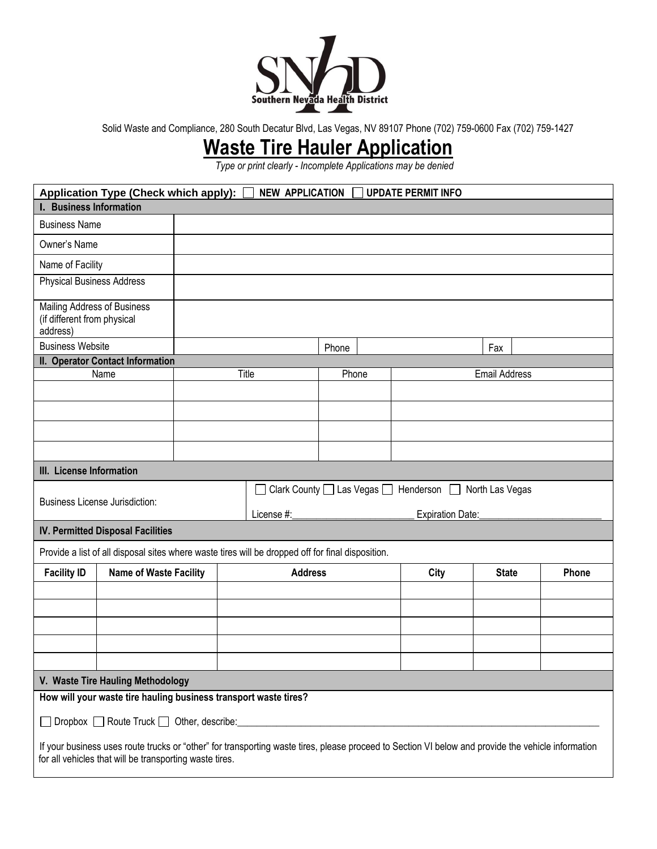

Solid Waste and Compliance, 280 South Decatur Blvd, Las Vegas, NV 89107 Phone (702) 759-0600 Fax (702) 759-1427

## **Waste Tire Hauler Application**

*Type or print clearly - Incomplete Applications may be denied*

| Application Type (Check which apply): □<br><b>NEW APPLICATION</b><br><b>UPDATE PERMIT INFO</b>                                                                                                                |                                                                                                   |                                                                          |                |       |                  |      |              |                      |       |  |
|---------------------------------------------------------------------------------------------------------------------------------------------------------------------------------------------------------------|---------------------------------------------------------------------------------------------------|--------------------------------------------------------------------------|----------------|-------|------------------|------|--------------|----------------------|-------|--|
| <b>I. Business Information</b>                                                                                                                                                                                |                                                                                                   |                                                                          |                |       |                  |      |              |                      |       |  |
| <b>Business Name</b>                                                                                                                                                                                          |                                                                                                   |                                                                          |                |       |                  |      |              |                      |       |  |
| Owner's Name                                                                                                                                                                                                  |                                                                                                   |                                                                          |                |       |                  |      |              |                      |       |  |
| Name of Facility                                                                                                                                                                                              |                                                                                                   |                                                                          |                |       |                  |      |              |                      |       |  |
| <b>Physical Business Address</b>                                                                                                                                                                              |                                                                                                   |                                                                          |                |       |                  |      |              |                      |       |  |
| <b>Mailing Address of Business</b><br>(if different from physical<br>address)                                                                                                                                 |                                                                                                   |                                                                          |                |       |                  |      |              |                      |       |  |
| <b>Business Website</b>                                                                                                                                                                                       |                                                                                                   |                                                                          |                |       | Phone            |      | Fax          |                      |       |  |
|                                                                                                                                                                                                               | II. Operator Contact Information                                                                  |                                                                          |                |       |                  |      |              |                      |       |  |
| Name                                                                                                                                                                                                          |                                                                                                   | Title                                                                    |                | Phone |                  |      |              | <b>Email Address</b> |       |  |
|                                                                                                                                                                                                               |                                                                                                   |                                                                          |                |       |                  |      |              |                      |       |  |
|                                                                                                                                                                                                               |                                                                                                   |                                                                          |                |       |                  |      |              |                      |       |  |
|                                                                                                                                                                                                               |                                                                                                   |                                                                          |                |       |                  |      |              |                      |       |  |
|                                                                                                                                                                                                               |                                                                                                   |                                                                          |                |       |                  |      |              |                      |       |  |
| III. License Information                                                                                                                                                                                      |                                                                                                   |                                                                          |                |       |                  |      |              |                      |       |  |
|                                                                                                                                                                                                               |                                                                                                   | Clark County $\Box$ Las Vegas $\Box$ Henderson $\Box$<br>North Las Vegas |                |       |                  |      |              |                      |       |  |
| <b>Business License Jurisdiction:</b>                                                                                                                                                                         | License #:                                                                                        |                                                                          |                |       | Expiration Date: |      |              |                      |       |  |
| <b>IV. Permitted Disposal Facilities</b>                                                                                                                                                                      |                                                                                                   |                                                                          |                |       |                  |      |              |                      |       |  |
|                                                                                                                                                                                                               | Provide a list of all disposal sites where waste tires will be dropped off for final disposition. |                                                                          |                |       |                  |      |              |                      |       |  |
| <b>Facility ID</b><br><b>Name of Waste Facility</b>                                                                                                                                                           |                                                                                                   |                                                                          | <b>Address</b> |       |                  | City | <b>State</b> |                      | Phone |  |
|                                                                                                                                                                                                               |                                                                                                   |                                                                          |                |       |                  |      |              |                      |       |  |
|                                                                                                                                                                                                               |                                                                                                   |                                                                          |                |       |                  |      |              |                      |       |  |
|                                                                                                                                                                                                               |                                                                                                   |                                                                          |                |       |                  |      |              |                      |       |  |
|                                                                                                                                                                                                               |                                                                                                   |                                                                          |                |       |                  |      |              |                      |       |  |
|                                                                                                                                                                                                               |                                                                                                   |                                                                          |                |       |                  |      |              |                      |       |  |
| V. Waste Tire Hauling Methodology                                                                                                                                                                             |                                                                                                   |                                                                          |                |       |                  |      |              |                      |       |  |
| How will your waste tire hauling business transport waste tires?                                                                                                                                              |                                                                                                   |                                                                          |                |       |                  |      |              |                      |       |  |
|                                                                                                                                                                                                               |                                                                                                   |                                                                          |                |       |                  |      |              |                      |       |  |
| If your business uses route trucks or "other" for transporting waste tires, please proceed to Section VI below and provide the vehicle information<br>for all vehicles that will be transporting waste tires. |                                                                                                   |                                                                          |                |       |                  |      |              |                      |       |  |